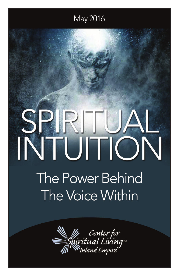## May 2016

# **The Power Behind** The Voice Within

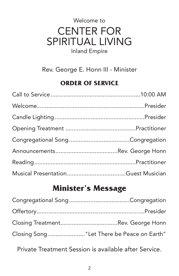## Welcome to CENTER FOR SPIRITUAL LIVING Inland Empire

Rev. George E. Honn III - Minister

#### **ORDER OF SERVICE**

## **Minister's Message**

| Closing Song"Let There be Peace on Earth" |
|-------------------------------------------|

Private Treatment Session is available after Service.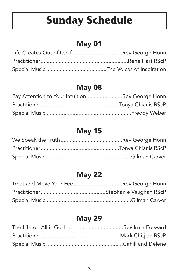# **Sunday Schedule**

#### May 01

## May 08

| Pay Attention to Your IntuitionRev George Honn |  |
|------------------------------------------------|--|
|                                                |  |
|                                                |  |

#### May 15

## May 22

| Treat and Move Your FeetRev George Honn |  |
|-----------------------------------------|--|
|                                         |  |
|                                         |  |

#### May 29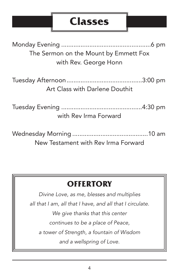# **Classes**

| The Sermon on the Mount by Emmett Fox |
|---------------------------------------|
| with Rev. George Honn                 |
| Art Class with Darlene Douthit        |
| with Rev Irma Forward                 |
|                                       |

Wednesday Morning ...........................................10 am New Testament with Rev Irma Forward

# **OFFERTORY**

*Divine Love, as me, blesses and multiplies all that I am, all that I have, and all that I circulate. We give thanks that this center continues to be a place of Peace, a tower of Strength, a fountain of Wisdom and a wellspring of Love.*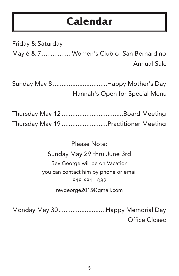# **Calendar**

Friday & Saturday May 6 & 7 .................Women's Club of San Bernardino Annual Sale

Sunday May 8...............................Happy Mother's Day Hannah's Open for Special Menu

| Thursday May 19 Practitioner Meeting |
|--------------------------------------|

Please Note: Sunday May 29 thru June 3rd Rev George will be on Vacation you can contact him by phone or email 818-681-1082 revgeorge2015@gmail.com

Monday May 30...........................Happy Memorial Day Office Closed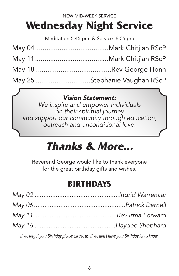# **Wednesday Night Service**

Meditation 5:45 pm & Service 6:05 pm

| May 25 Stephanie Vaughan RScP |
|-------------------------------|

#### *Vision Statement:*

*We inspire and empower individuals on their spiritual journey and support our community through education, outreach and unconditional love.*

# **Thanks & More...**

Reverend George would like to thank everyone for the great birthday gifts and wishes.

## **BIRTHDAYS**

| $\mathcal{L} = \mathcal{L} = \mathcal{L} = \mathcal{L} = \mathcal{L} = \mathcal{L} = \mathcal{L} = \mathcal{L} = \mathcal{L} = \mathcal{L} = \mathcal{L} = \mathcal{L} = \mathcal{L} = \mathcal{L} = \mathcal{L} = \mathcal{L} = \mathcal{L} = \mathcal{L} = \mathcal{L} = \mathcal{L} = \mathcal{L} = \mathcal{L} = \mathcal{L} = \mathcal{L} = \mathcal{L} = \mathcal{L} = \mathcal{L} = \mathcal{L} = \mathcal{L} = \mathcal{L} = \mathcal{L} = \mathcal$ |
|--------------------------------------------------------------------------------------------------------------------------------------------------------------------------------------------------------------------------------------------------------------------------------------------------------------------------------------------------------------------------------------------------------------------------------------------------------------|

*If we forgot your Birthday please excuse us. If we don't have your Birthday let us know.*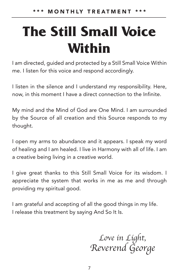# **The Still Small Voice Within**

I am directed, guided and protected by a Still Small Voice Within me. I listen for this voice and respond accordingly.

I listen in the silence and I understand my responsibility. Here, now, in this moment I have a direct connection to the Infinite.

My mind and the Mind of God are One Mind. I am surrounded by the Source of all creation and this Source responds to my thought.

I open my arms to abundance and it appears. I speak my word of healing and I am healed. I live in Harmony with all of life. I am a creative being living in a creative world.

I give great thanks to this Still Small Voice for its wisdom. I appreciate the system that works in me as me and through providing my spiritual good.

I am grateful and accepting of all the good things in my life. I release this treatment by saying And So It Is.

> *Love in Light, Reverend George*